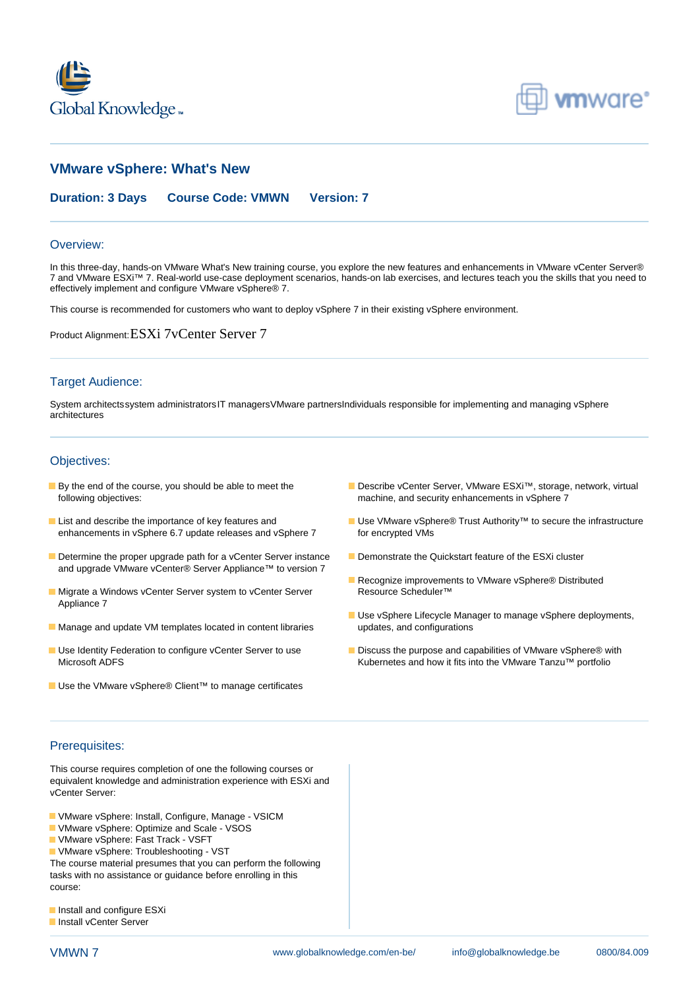



# **VMware vSphere: What's New**

**Duration: 3 Days Course Code: VMWN Version: 7**

#### Overview:

In this three-day, hands-on VMware What's New training course, you explore the new features and enhancements in VMware vCenter Server® 7 and VMware ESXi™ 7. Real-world use-case deployment scenarios, hands-on lab exercises, and lectures teach you the skills that you need to effectively implement and configure VMware vSphere® 7.

This course is recommended for customers who want to deploy vSphere 7 in their existing vSphere environment.

Product Alignment:ESXi 7vCenter Server 7

## Target Audience:

System architectssystem administratorsIT managersVMware partnersIndividuals responsible for implementing and managing vSphere architectures

## Objectives:

- following objectives: machine, and security enhancements in vSphere 7
- enhancements in vSphere 6.7 update releases and vSphere 7 for encrypted VMs
- Determine the proper upgrade path for a vCenter Server instance Demonstrate the Quickstart feature of the ESXi cluster and upgrade VMware vCenter® Server Appliance™ to version 7
- Migrate a Windows vCenter Server system to vCenter Server Resource Scheduler™ Appliance 7
- **Manage and update VM templates located in content libraries updates, and configurations**
- 
- Use the VMware vSphere® Client™ to manage certificates
- By the end of the course, you should be able to meet the Describe vCenter Server, VMware ESXi™, storage, network, virtual
- **List and describe the importance of key features and Use VMware vSphere® Trust Authority™ to secure the infrastructure** 
	-
	- Recognize improvements to VMware vSphere® Distributed
	- Use vSphere Lifecycle Manager to manage vSphere deployments,
- Use Identity Federation to configure vCenter Server to use Discuss the purpose and capabilities of VMware vSphere® with Microsoft ADFS **Kubernetes and how it fits into the VMware Tanzu™ portfolio** Kubernetes and how it fits into the VMware Tanzu™ portfolio

## Prerequisites:

This course requires completion of one the following courses or equivalent knowledge and administration experience with ESXi and vCenter Server:

- VMware vSphere: Install, Configure, Manage VSICM
- VMware vSphere: Optimize and Scale VSOS
- **U** VMware vSphere: Fast Track VSFT
- VMware vSphere: Troubleshooting VST
- The course material presumes that you can perform the following tasks with no assistance or guidance before enrolling in this course:
- **Install and configure ESXi**
- **Install vCenter Server**